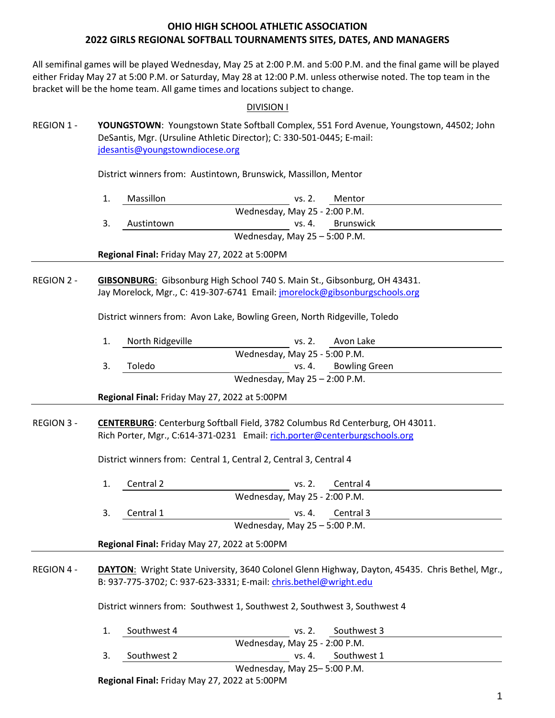All semifinal games will be played Wednesday, May 25 at 2:00 P.M. and 5:00 P.M. and the final game will be played either Friday May 27 at 5:00 P.M. or Saturday, May 28 at 12:00 P.M. unless otherwise noted. The top team in the bracket will be the home team. All game times and locations subject to change.

### DIVISION I

REGION 1 - **YOUNGSTOWN**: Youngstown State Softball Complex, 551 Ford Avenue, Youngstown, 44502; John DeSantis, Mgr. (Ursuline Athletic Director); C: 330-501-0445; E-mail: [jdesantis@youngstowndiocese.org](mailto:jdesantis@youngstowndiocese.org)

District winners from: Austintown, Brunswick, Massillon, Mentor

| Massillon  | Mentor<br>vs. 2.                |  |
|------------|---------------------------------|--|
|            | Wednesday, May 25 - 2:00 P.M.   |  |
| Austintown | vs. 4. Brunswick                |  |
|            | Wednesday, May $25 - 5:00$ P.M. |  |

**Regional Final:** Friday May 27, 2022 at 5:00PM

REGION 2 - **GIBSONBURG**: Gibsonburg High School 740 S. Main St., Gibsonburg, OH 43431. Jay Morelock, Mgr., C: 419-307-6741 Email[: jmorelock@gibsonburgschools.org](mailto:jmorelock@gibsonburgschools.org)

District winners from: Avon Lake, Bowling Green, North Ridgeville, Toledo

| North Ridgeville | vs. 2.                          | Avon Lake            |  |
|------------------|---------------------------------|----------------------|--|
|                  | Wednesday, May 25 - 5:00 P.M.   |                      |  |
| Toledo           |                                 | vs. 4. Bowling Green |  |
|                  | Wednesday, May $25 - 2:00$ P.M. |                      |  |

**Regional Final:** Friday May 27, 2022 at 5:00PM

### REGION 3 - **CENTERBURG**: Centerburg Softball Field, 3782 Columbus Rd Centerburg, OH 43011. Rich Porter, Mgr., C:614-371-0231 Email: [rich.porter@centerburgschools.org](mailto:rich.porter@centerburgschools.org)

District winners from: Central 1, Central 2, Central 3, Central 4

|                                               | Central 2 | vs. 2.                          | Central 4        |  |
|-----------------------------------------------|-----------|---------------------------------|------------------|--|
|                                               |           | Wednesday, May 25 - 2:00 P.M.   |                  |  |
|                                               | Central 1 |                                 | vs. 4. Central 3 |  |
|                                               |           | Wednesday, May $25 - 5:00$ P.M. |                  |  |
| Regional Final: Friday May 27, 2022 at 5:00PM |           |                                 |                  |  |

### REGION 4 - **DAYTON**: Wright State University, 3640 Colonel Glenn Highway, Dayton, 45435. Chris Bethel, Mgr., B: 937-775-3702; C: 937-623-3331; E-mail: [chris.bethel@wright.edu](mailto:chris.bethel@wright.edu)

District winners from: Southwest 1, Southwest 2, Southwest 3, Southwest 4

| Southwest 4 | vs. 2.                        | Southwest 3        |  |
|-------------|-------------------------------|--------------------|--|
|             | Wednesday, May 25 - 2:00 P.M. |                    |  |
| Southwest 2 |                               | vs. 4. Southwest 1 |  |
|             | Wednesday, May 25-5:00 P.M.   |                    |  |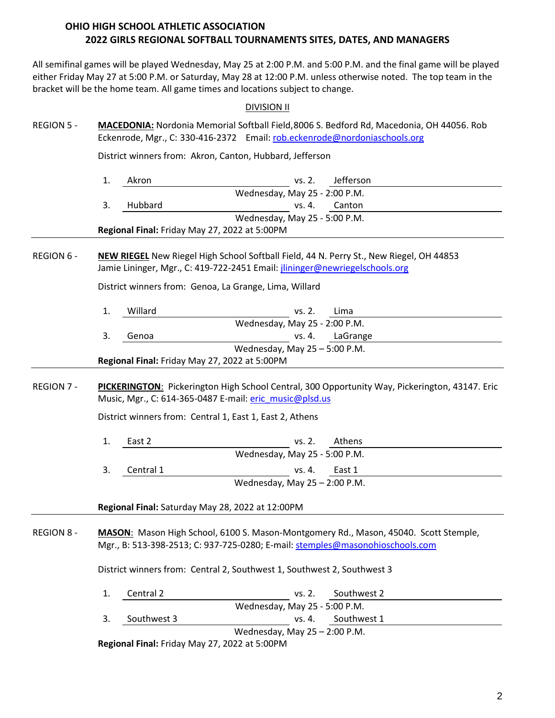All semifinal games will be played Wednesday, May 25 at 2:00 P.M. and 5:00 P.M. and the final game will be played either Friday May 27 at 5:00 P.M. or Saturday, May 28 at 12:00 P.M. unless otherwise noted. The top team in the bracket will be the home team. All game times and locations subject to change.

### DIVISION II

REGION 5 - **MACEDONIA:** Nordonia Memorial Softball Field,8006 S. Bedford Rd, Macedonia, OH 44056. Rob Eckenrode, Mgr., C: 330-416-2372 Email: [rob.eckenrode@nordoniaschools.org](mailto:rob.eckenrode@nordoniaschools.org)

District winners from: Akron, Canton, Hubbard, Jefferson

| Akron   | vs. 2.                                        | Jefferson     |  |
|---------|-----------------------------------------------|---------------|--|
|         | Wednesday, May 25 - 2:00 P.M.                 |               |  |
| Hubbard |                                               | ys. 4. Canton |  |
|         | Wednesday, May 25 - 5:00 P.M.                 |               |  |
|         | Regional Final: Friday May 27, 2022 at 5:00PM |               |  |

REGION 6 - **NEW RIEGEL** New Riegel High School Softball Field, 44 N. Perry St., New Riegel, OH 44853 Jamie Lininger, Mgr., C: 419-722-2451 Email[: jlininger@newriegelschools.org](mailto:jlininger@newriegelschools.org)

District winners from: Genoa, La Grange, Lima, Willard

| Willard                                       | vs. 2.                        | Lima            |  |  |  |
|-----------------------------------------------|-------------------------------|-----------------|--|--|--|
|                                               | Wednesday, May 25 - 2:00 P.M. |                 |  |  |  |
| Genoa                                         |                               | vs. 4. LaGrange |  |  |  |
| Wednesday, May $25 - 5:00$ P.M.               |                               |                 |  |  |  |
| Regional Final: Friday May 27, 2022 at 5:00PM |                               |                 |  |  |  |

REGION 7 - **PICKERINGTON**: Pickerington High School Central, 300 Opportunity Way, Pickerington, 43147. Eric Music, Mgr., C: 614-365-0487 E-mail: [eric\\_music@plsd.us](mailto:eric_music@plsd.us)

District winners from: Central 1, East 1, East 2, Athens

| East 2    | vs. 2.                          | Athens          |  |
|-----------|---------------------------------|-----------------|--|
|           | Wednesday, May 25 - 5:00 P.M.   |                 |  |
| Central 1 |                                 | $vs. 4.$ East 1 |  |
|           | Wednesday, May $25 - 2:00$ P.M. |                 |  |

**Regional Final:** Saturday May 28, 2022 at 12:00PM

REGION 8 - **MASON**: Mason High School, 6100 S. Mason-Montgomery Rd., Mason, 45040. Scott Stemple, Mgr., B: 513-398-2513; C: 937-725-0280; E-mail: [stemples@masonohioschools.com](mailto:stemples@masonohioschools.com)

District winners from: Central 2, Southwest 1, Southwest 2, Southwest 3

| Central 2   | Southwest 2<br>vs. 2.           |  |
|-------------|---------------------------------|--|
|             | Wednesday, May 25 - 5:00 P.M.   |  |
| Southwest 3 | vs. 4. Southwest 1              |  |
|             | Wednesday, May $25 - 2:00$ P.M. |  |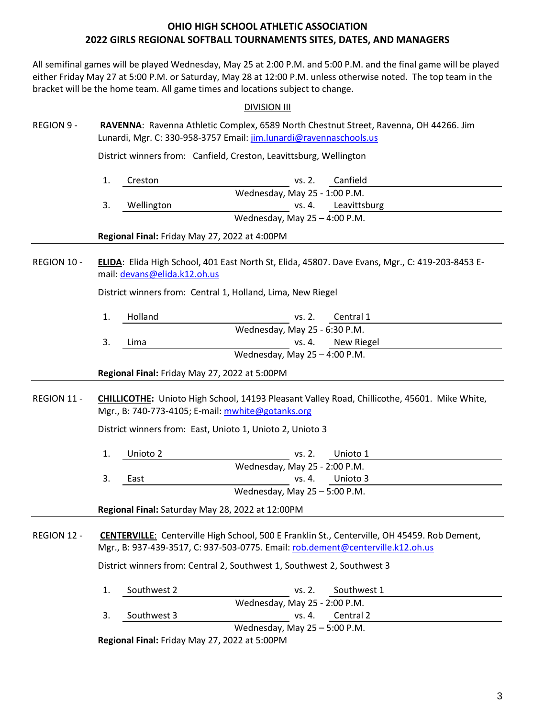All semifinal games will be played Wednesday, May 25 at 2:00 P.M. and 5:00 P.M. and the final game will be played either Friday May 27 at 5:00 P.M. or Saturday, May 28 at 12:00 P.M. unless otherwise noted. The top team in the bracket will be the home team. All game times and locations subject to change.

### DIVISION III

REGION 9 - **RAVENNA**: Ravenna Athletic Complex, 6589 North Chestnut Street, Ravenna, OH 44266. Jim Lunardi, Mgr. C: 330-958-3757 Email: [jim.lunardi@ravennaschools.us](mailto:jim.lunardi@ravennaschools.us)

District winners from: Canfield, Creston, Leavittsburg, Wellington

1. Creston vs. 2. Canfield Wednesday, May 25 - 1:00 P.M. 3. Wellington vs. 4. Leavittsburg Wednesday, May 25 – 4:00 P.M.

**Regional Final:** Friday May 27, 2022 at 4:00PM

REGION 10 - **ELIDA**: Elida High School, 401 East North St, Elida, 45807. Dave Evans, Mgr., C: 419-203-8453 Email[: devans@elida.k12.oh.us](mailto:devans@elida.k12.oh.us)

District winners from: Central 1, Holland, Lima, New Riegel

1. Holland vs. 2. Central 1 Wednesday, May 25 - 6:30 P.M. 3. Lima vs. 4. New Riegel Wednesday, May 25 – 4:00 P.M.

**Regional Final:** Friday May 27, 2022 at 5:00PM

## REGION 11 - **CHILLICOTHE:** Unioto High School, 14193 Pleasant Valley Road, Chillicothe, 45601. Mike White, Mgr., B: 740-773-4105; E-mail: [mwhite@gotanks.org](mailto:mwhite@gotanks.org)

District winners from: East, Unioto 1, Unioto 2, Unioto 3

1. Unioto 2 vs. 2. Unioto 1 Wednesday, May 25 - 2:00 P.M. 3. East vs. 4. Unioto 3 Wednesday, May 25 – 5:00 P.M.

**Regional Final:** Saturday May 28, 2022 at 12:00PM

REGION 12 - **CENTERVILLE**: Centerville High School, 500 E Franklin St., Centerville, OH 45459. Rob Dement, Mgr., B: 937-439-3517, C: 937-503-0775. Email[: rob.dement@centerville.k12.oh.us](mailto:rob.dement@centerville.k12.oh.us)

District winners from: Central 2, Southwest 1, Southwest 2, Southwest 3

1. Southwest 2 vs. 2. Southwest 1 Wednesday, May 25 - 2:00 P.M. 3. Southwest 3 vs. 4. Central 2 Wednesday, May 25 – 5:00 P.M.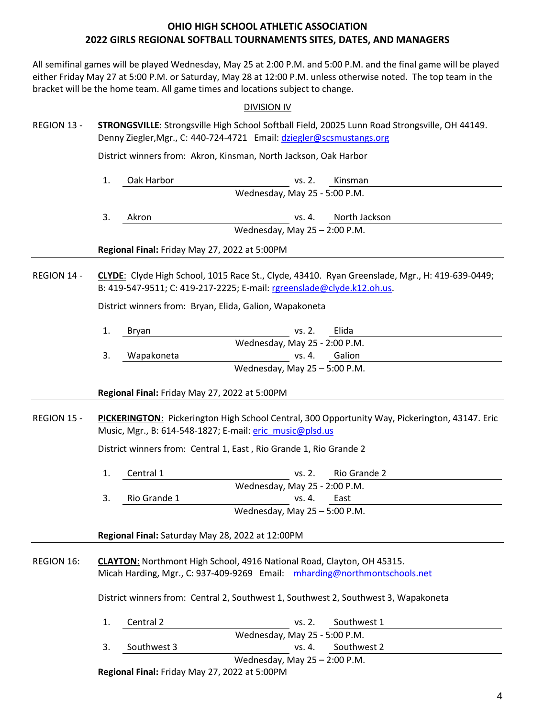All semifinal games will be played Wednesday, May 25 at 2:00 P.M. and 5:00 P.M. and the final game will be played either Friday May 27 at 5:00 P.M. or Saturday, May 28 at 12:00 P.M. unless otherwise noted. The top team in the bracket will be the home team. All game times and locations subject to change.

### DIVISION IV

| REGION 13 - | STRONGSVILLE: Strongsville High School Softball Field, 20025 Lunn Road Strongsville, OH 44149. |
|-------------|------------------------------------------------------------------------------------------------|
|             | Denny Ziegler, Mgr., C: 440-724-4721 Email: dziegler@scsmustangs.org                           |

District winners from: Akron, Kinsman, North Jackson, Oak Harbor

- 1. Oak Harbor vs. 2. Kinsman Wednesday, May 25 - 5:00 P.M.
- 3. Akron vs. 4. North Jackson Wednesday, May 25 – 2:00 P.M.

**Regional Final:** Friday May 27, 2022 at 5:00PM

REGION 14 - **CLYDE**: Clyde High School, 1015 Race St., Clyde, 43410. Ryan Greenslade, Mgr., H: 419-639-0449; B: 419-547-9511; C: 419-217-2225; E-mail: [rgreenslade@clyde.k12.oh.us.](mailto:rgreenslade@clyde.k12.oh.us)

District winners from: Bryan, Elida, Galion, Wapakoneta

| 1.  | Brvan      | vs. 2.                          | Elida |  |
|-----|------------|---------------------------------|-------|--|
|     |            | Wednesday, May 25 - 2:00 P.M.   |       |  |
| -3. | Wapakoneta | vs. 4. Galion                   |       |  |
|     |            | Wednesday, May $25 - 5:00$ P.M. |       |  |

**Regional Final:** Friday May 27, 2022 at 5:00PM

REGION 15 - **PICKERINGTON**: Pickerington High School Central, 300 Opportunity Way, Pickerington, 43147. Eric Music, Mgr., B: 614-548-1827; E-mail: [eric\\_music@plsd.us](mailto:eric_music@plsd.us)

District winners from: Central 1, East , Rio Grande 1, Rio Grande 2

1. Central 1 vs. 2. Rio Grande 2 Wednesday, May 25 - 2:00 P.M. 3. Rio Grande 1 vs. 4. East Wednesday, May 25 – 5:00 P.M.

**Regional Final:** Saturday May 28, 2022 at 12:00PM

REGION 16: **CLAYTON**: Northmont High School, 4916 National Road, Clayton, OH 45315. Micah Harding, Mgr., C: 937-409-9269 Email: [mharding@northmontschools.net](mailto:mharding@northmontschools.net)

District winners from: Central 2, Southwest 1, Southwest 2, Southwest 3, Wapakoneta

| Central 2   | vs. 2.                          | Southwest 1        |  |
|-------------|---------------------------------|--------------------|--|
|             | Wednesday, May 25 - 5:00 P.M.   |                    |  |
| Southwest 3 |                                 | vs. 4. Southwest 2 |  |
|             | Wednesday, May $25 - 2:00$ P.M. |                    |  |
|             |                                 |                    |  |